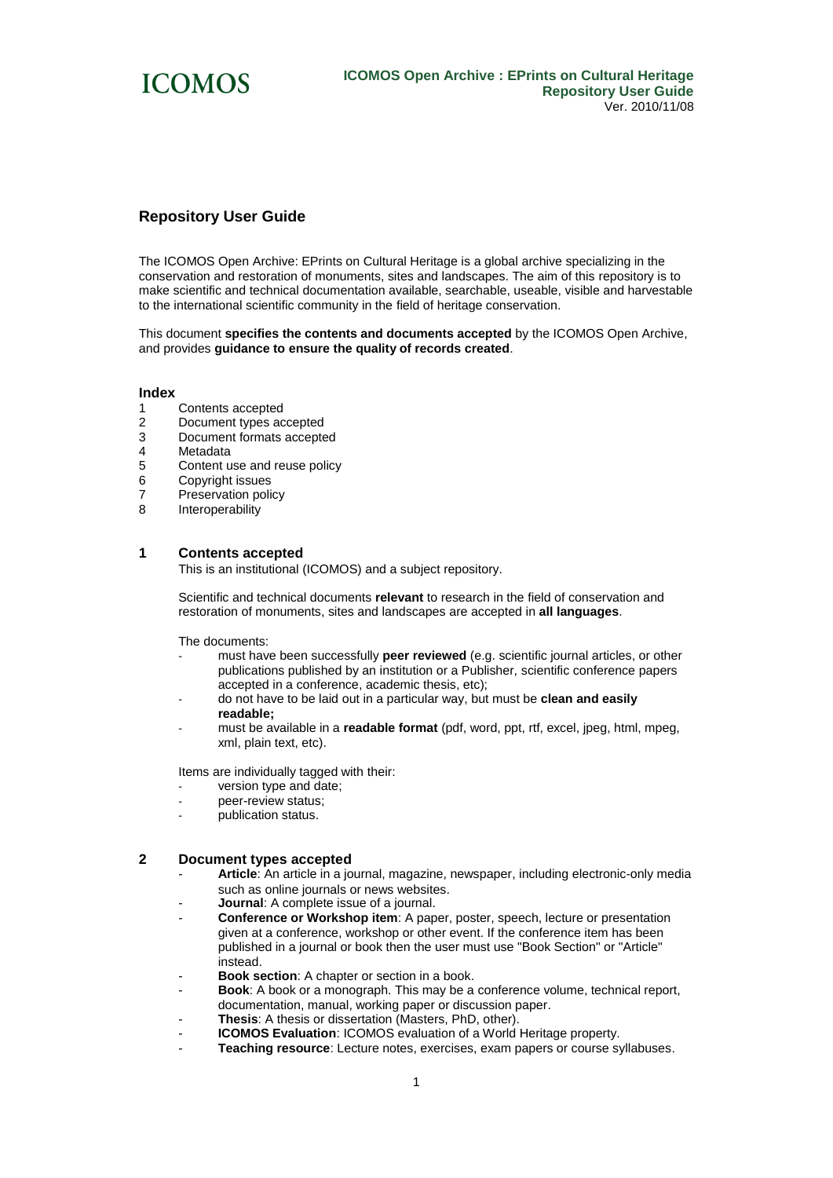

# **Repository User Guide**

The ICOMOS Open Archive: EPrints on Cultural Heritage is a global archive specializing in the conservation and restoration of monuments, sites and landscapes. The aim of this repository is to make scientific and technical documentation available, searchable, useable, visible and harvestable to the international scientific community in the field of heritage conservation.

This document **specifies the contents and documents accepted** by the ICOMOS Open Archive, and provides **guidance to ensure the quality of records created**.

#### **Index**

- Contents accepted
- 2 Document types accepted
- 3 Document formats accepted
- 4 Metadata
- 5 Content use and reuse policy
- 6 Copyright issues
- 7 Preservation policy
- 8 Interoperability

# **1 Contents accepted**

This is an institutional (ICOMOS) and a subject repository.

Scientific and technical documents **relevant** to research in the field of conservation and restoration of monuments, sites and landscapes are accepted in **all languages**.

The documents:

- must have been successfully **peer reviewed** (e.g. scientific journal articles, or other publications published by an institution or a Publisher, scientific conference papers accepted in a conference, academic thesis, etc);
- do not have to be laid out in a particular way, but must be **clean and easily readable;**
- must be available in a **readable format** (pdf, word, ppt, rtf, excel, jpeg, html, mpeg, xml, plain text, etc).

Items are individually tagged with their:

- version type and date;
- peer-review status;
- publication status.

### **2 Document types accepted**

- Article: An article in a journal, magazine, newspaper, including electronic-only media such as online journals or news websites.
- **Journal:** A complete issue of a journal.
- **Conference or Workshop item**: A paper, poster, speech, lecture or presentation given at a conference, workshop or other event. If the conference item has been published in a journal or book then the user must use "Book Section" or "Article" instead.
- **Book section:** A chapter or section in a book.
- **Book**: A book or a monograph. This may be a conference volume, technical report, documentation, manual, working paper or discussion paper.
- Thesis: A thesis or dissertation (Masters, PhD, other).
- **ICOMOS Evaluation**: ICOMOS evaluation of a World Heritage property.
- **Teaching resource**: Lecture notes, exercises, exam papers or course syllabuses.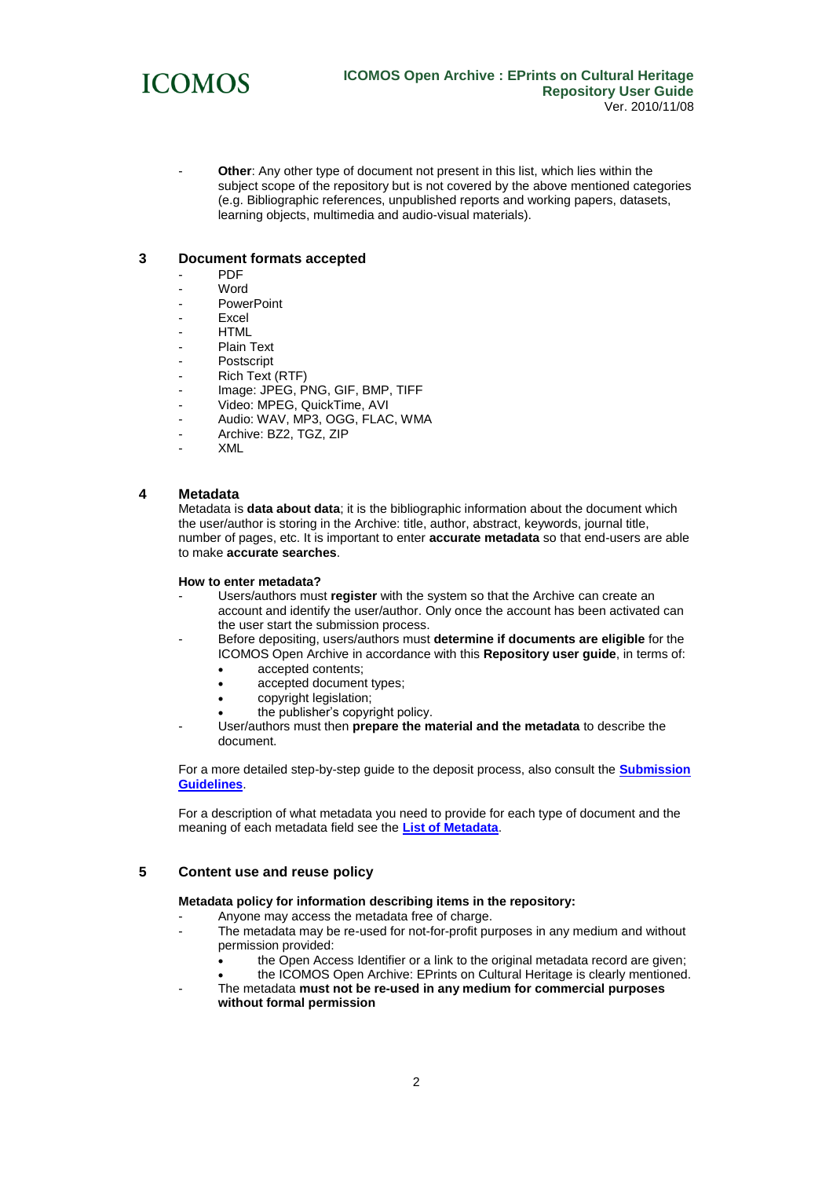

Other: Any other type of document not present in this list, which lies within the subject scope of the repository but is not covered by the above mentioned categories (e.g. Bibliographic references, unpublished reports and working papers, datasets, learning objects, multimedia and audio-visual materials).

# **3 Document formats accepted**

- PDF
- Word
- PowerPoint
- Excel
- HTML
- Plain Text
- Postscript
- Rich Text (RTF)
- Image: JPEG, PNG, GIF, BMP, TIFF
- Video: MPEG, QuickTime, AVI
- Audio: WAV, MP3, OGG, FLAC, WMA
- Archive: BZ2, TGZ, ZIP
- XML

### **4 Metadata**

Metadata is **data about data**; it is the bibliographic information about the document which the user/author is storing in the Archive: title, author, abstract, keywords, journal title, number of pages, etc. It is important to enter **accurate metadata** so that end-users are able to make **accurate searches**.

#### **How to enter metadata?**

- Users/authors must **register** with the system so that the Archive can create an account and identify the user/author. Only once the account has been activated can the user start the submission process.
- Before depositing, users/authors must **determine if documents are eligible** for the ICOMOS Open Archive in accordance with this **Repository user guide**, in terms of:
	- accepted contents;
	- accepted document types;
	- copyright legislation;
	- the publisher's copyright policy.
	- User/authors must then **prepare the material and the metadata** to describe the document.

For a more detailed step-by-step guide to the deposit process, also consult the **[Submission](http://www.international.icomos.org/centre_documentation/openarchive/submission_guidelines.pdf)  [Guidelines](http://www.international.icomos.org/centre_documentation/openarchive/submission_guidelines.pdf)**.

For a description of what metadata you need to provide for each type of document and the meaning of each metadata field see the **[List of Metadata](http://www.international.icomos.org/centre_documentation/openarchive/metadata.pdf)**.

# **5 Content use and reuse policy**

### **Metadata policy for information describing items in the repository:**

- Anyone may access the metadata free of charge.
- The metadata may be re-used for not-for-profit purposes in any medium and without permission provided:
	- the Open Access Identifier or a link to the original metadata record are given;
	- the ICOMOS Open Archive: EPrints on Cultural Heritage is clearly mentioned.
- The metadata **must not be re-used in any medium for commercial purposes without formal permission**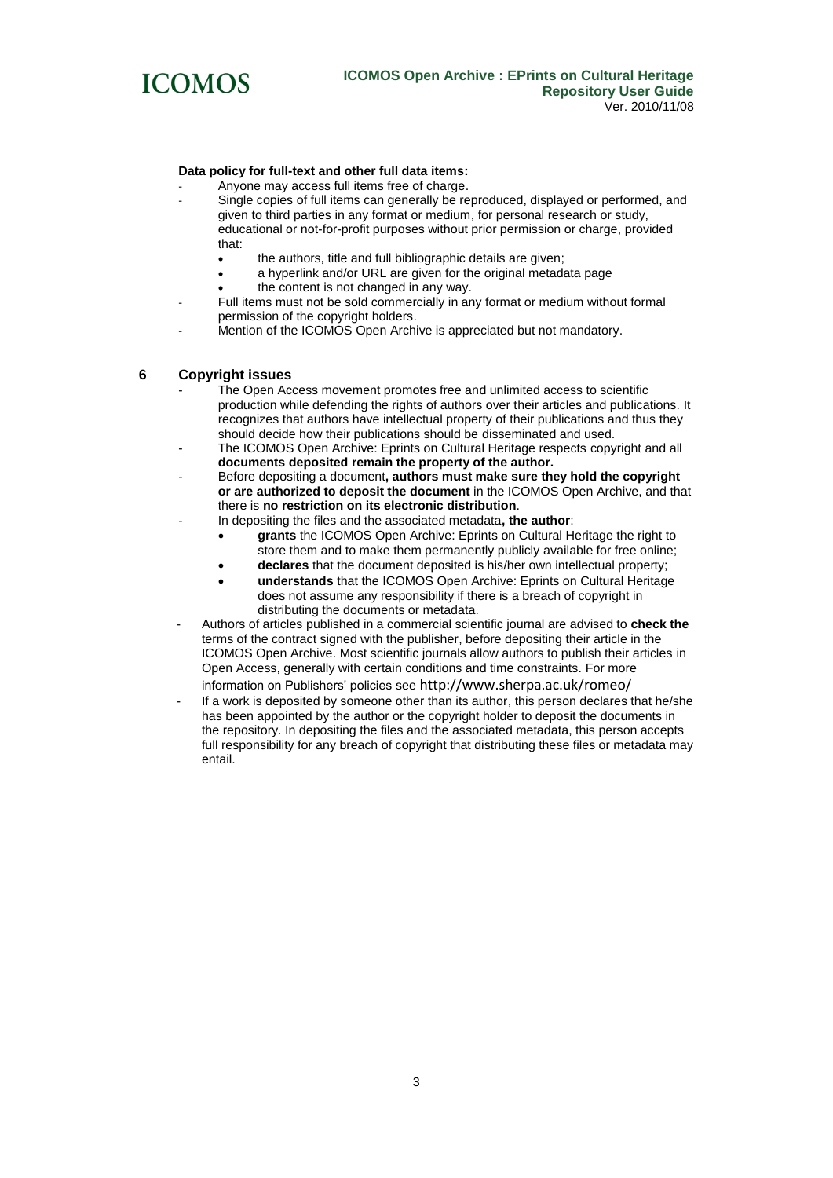

# **Data policy for full-text and other full data items:**

- Anyone may access full items free of charge.
- Single copies of full items can generally be reproduced, displayed or performed, and given to third parties in any format or medium, for personal research or study, educational or not-for-profit purposes without prior permission or charge, provided that:
	- the authors, title and full bibliographic details are given;
	- a hyperlink and/or URL are given for the original metadata page
	- the content is not changed in any way.
- Full items must not be sold commercially in any format or medium without formal permission of the copyright holders.
- Mention of the ICOMOS Open Archive is appreciated but not mandatory.

# **6 Copyright issues**

- The Open Access movement promotes free and unlimited access to scientific production while defending the rights of authors over their articles and publications. It recognizes that authors have intellectual property of their publications and thus they should decide how their publications should be disseminated and used.
- The ICOMOS Open Archive: Eprints on Cultural Heritage respects copyright and all **documents deposited remain the property of the author.**
- Before depositing a document**, authors must make sure they hold the copyright or are authorized to deposit the document** in the ICOMOS Open Archive, and that there is **no restriction on its electronic distribution**.
- In depositing the files and the associated metadata**, the author**:
	- **grants** the ICOMOS Open Archive: Eprints on Cultural Heritage the right to store them and to make them permanently publicly available for free online;
	- **declares** that the document deposited is his/her own intellectual property;
	- **understands** that the ICOMOS Open Archive: Eprints on Cultural Heritage does not assume any responsibility if there is a breach of copyright in distributing the documents or metadata.
- Authors of articles published in a commercial scientific journal are advised to **check the**  terms of the contract signed with the publisher, before depositing their article in the ICOMOS Open Archive. Most scientific journals allow authors to publish their articles in Open Access, generally with certain conditions and time constraints. For more information on Publishers' policies see <http://www.sherpa.ac.uk/romeo/>
- If a work is deposited by someone other than its author, this person declares that he/she has been appointed by the author or the copyright holder to deposit the documents in the repository. In depositing the files and the associated metadata, this person accepts full responsibility for any breach of copyright that distributing these files or metadata may entail.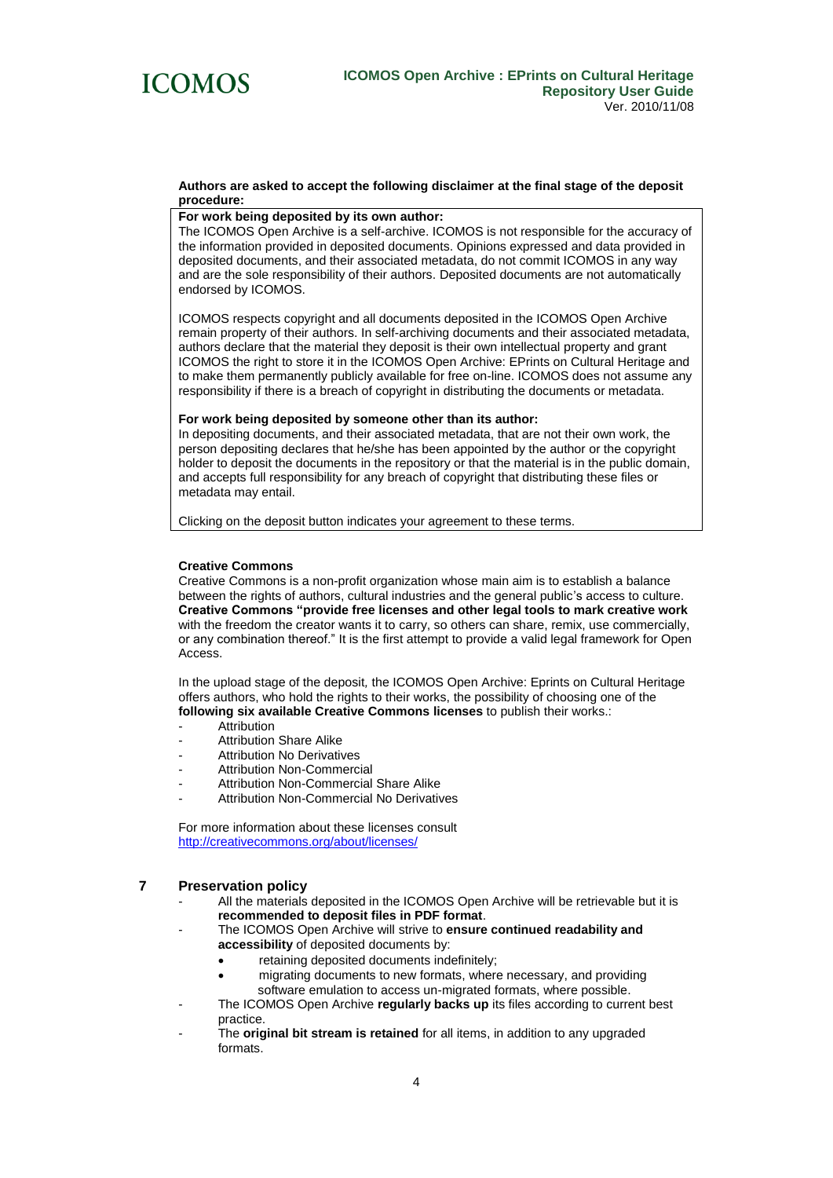

#### **Authors are asked to accept the following disclaimer at the final stage of the deposit procedure:**

#### **For work being deposited by its own author:**

The ICOMOS Open Archive is a self-archive. ICOMOS is not responsible for the accuracy of the information provided in deposited documents. Opinions expressed and data provided in deposited documents, and their associated metadata, do not commit ICOMOS in any way and are the sole responsibility of their authors. Deposited documents are not automatically endorsed by ICOMOS.

ICOMOS respects copyright and all documents deposited in the ICOMOS Open Archive remain property of their authors. In self-archiving documents and their associated metadata, authors declare that the material they deposit is their own intellectual property and grant ICOMOS the right to store it in the ICOMOS Open Archive: EPrints on Cultural Heritage and to make them permanently publicly available for free on-line. ICOMOS does not assume any responsibility if there is a breach of copyright in distributing the documents or metadata.

#### **For work being deposited by someone other than its author:**

In depositing documents, and their associated metadata, that are not their own work, the person depositing declares that he/she has been appointed by the author or the copyright holder to deposit the documents in the repository or that the material is in the public domain, and accepts full responsibility for any breach of copyright that distributing these files or metadata may entail.

Clicking on the deposit button indicates your agreement to these terms.

#### **Creative Commons**

Creative Commons is a non-profit organization whose main aim is to establish a balance between the rights of authors, cultural industries and the general public's access to culture. **Creative Commons "provide free licenses and other legal tools to mark creative work** with the freedom the creator wants it to carry, so others can share, remix, use commercially, or any combination thereof." It is the first attempt to provide a valid legal framework for Open Access.

In the upload stage of the deposit*,* the ICOMOS Open Archive: Eprints on Cultural Heritage offers authors, who hold the rights to their works, the possibility of choosing one of the **following six available Creative Commons licenses** to publish their works.:

- **Attribution**
- Attribution Share Alike
- Attribution No Derivatives
- Attribution Non-Commercial
- Attribution Non-Commercial Share Alike
- Attribution Non-Commercial No Derivatives

For more information about these licenses consult <http://creativecommons.org/about/licenses/>

# **7 Preservation policy**

- All the materials deposited in the ICOMOS Open Archive will be retrievable but it is **recommended to deposit files in PDF format**.
- The ICOMOS Open Archive will strive to **ensure continued readability and accessibility** of deposited documents by:
	- retaining deposited documents indefinitely;
	- migrating documents to new formats, where necessary, and providing software emulation to access un-migrated formats, where possible.
- The ICOMOS Open Archive **regularly backs up** its files according to current best practice.
- The **original bit stream is retained** for all items, in addition to any upgraded formats.